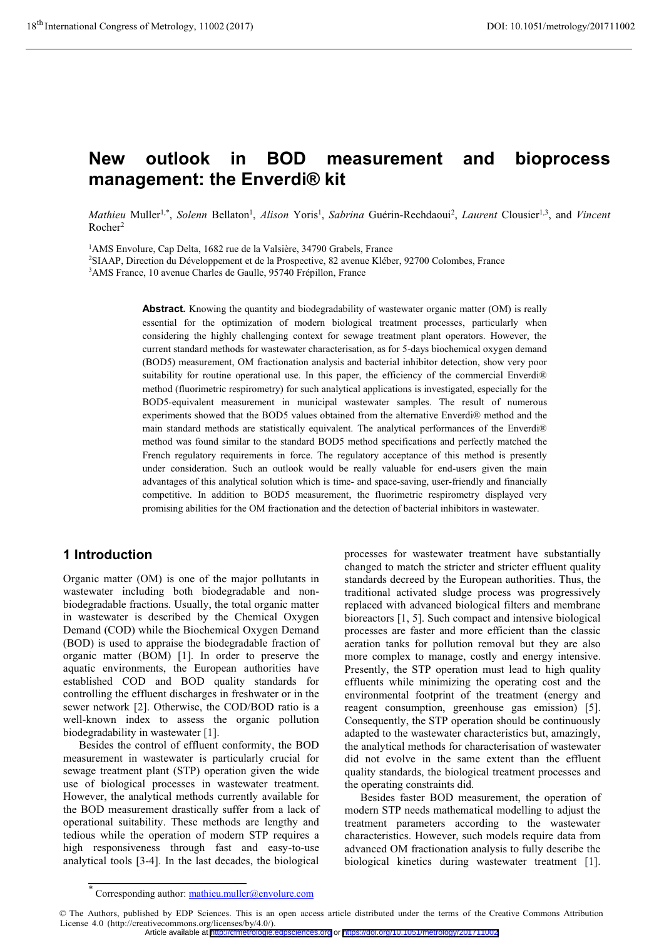# **New outlook in BOD measurement and bioprocess management: the Enverdi® kit**

Mathieu Muller<sup>1,\*</sup>, Solenn Bellaton<sup>1</sup>, Alison Yoris<sup>1</sup>, Sabrina Guérin-Rechdaoui<sup>2</sup>, Laurent Clousier<sup>1,3</sup>, and Vincent Rocher<sup>2</sup>

<sup>1</sup>AMS Envolure, Cap Delta, 1682 rue de la Valsière, 34790 Grabels, France

2 SIAAP, Direction du Développement et de la Prospective, 82 avenue Kléber, 92700 Colombes, France

3 AMS France, 10 avenue Charles de Gaulle, 95740 Frépillon, France

Abstract. Knowing the quantity and biodegradability of wastewater organic matter (OM) is really essential for the optimization of modern biological treatment processes, particularly when considering the highly challenging context for sewage treatment plant operators. However, the current standard methods for wastewater characterisation, as for 5-days biochemical oxygen demand (BOD5) measurement, OM fractionation analysis and bacterial inhibitor detection, show very poor suitability for routine operational use. In this paper, the efficiency of the commercial Enverdi® method (fluorimetric respirometry) for such analytical applications is investigated, especially for the BOD5-equivalent measurement in municipal wastewater samples. The result of numerous experiments showed that the BOD5 values obtained from the alternative Enverdi® method and the main standard methods are statistically equivalent. The analytical performances of the Enverdi® method was found similar to the standard BOD5 method specifications and perfectly matched the French regulatory requirements in force. The regulatory acceptance of this method is presently under consideration. Such an outlook would be really valuable for end-users given the main advantages of this analytical solution which is time- and space-saving, user-friendly and financially competitive. In addition to BOD5 measurement, the fluorimetric respirometry displayed very promising abilities for the OM fractionation and the detection of bacterial inhibitors in wastewater.

# **1 Introduction**

Organic matter (OM) is one of the major pollutants in wastewater including both biodegradable and nonbiodegradable fractions. Usually, the total organic matter in wastewater is described by the Chemical Oxygen Demand (COD) while the Biochemical Oxygen Demand (BOD) is used to appraise the biodegradable fraction of organic matter (BOM) [1]. In order to preserve the aquatic environments, the European authorities have established COD and BOD quality standards for controlling the effluent discharges in freshwater or in the sewer network [2]. Otherwise, the COD/BOD ratio is a well-known index to assess the organic pollution biodegradability in wastewater [1].

 Besides the control of effluent conformity, the BOD measurement in wastewater is particularly crucial for sewage treatment plant (STP) operation given the wide use of biological processes in wastewater treatment. However, the analytical methods currently available for the BOD measurement drastically suffer from a lack of operational suitability. These methods are lengthy and tedious while the operation of modern STP requires a high responsiveness through fast and easy-to-use analytical tools [3-4]. In the last decades, the biological

processes for wastewater treatment have substantially changed to match the stricter and stricter effluent quality standards decreed by the European authorities. Thus, the traditional activated sludge process was progressively replaced with advanced biological filters and membrane bioreactors [1, 5]. Such compact and intensive biological processes are faster and more efficient than the classic aeration tanks for pollution removal but they are also more complex to manage, costly and energy intensive. Presently, the STP operation must lead to high quality effluents while minimizing the operating cost and the environmental footprint of the treatment (energy and reagent consumption, greenhouse gas emission) [5]. Consequently, the STP operation should be continuously adapted to the wastewater characteristics but, amazingly, the analytical methods for characterisation of wastewater did not evolve in the same extent than the effluent quality standards, the biological treatment processes and the operating constraints did.

 Besides faster BOD measurement, the operation of modern STP needs mathematical modelling to adjust the treatment parameters according to the wastewater characteristics. However, such models require data from advanced OM fractionation analysis to fully describe the biological kinetics during wastewater treatment [1].

<sup>\*</sup> Corresponding author: mathieu.muller@envolure.com

<sup>©</sup> The Authors, published by EDP Sciences. This is an open access article distributed under the terms of the Creative Commons Attribution License 4.0 (http://creativecommons.org/licenses/by/4.0/).

Article available at <http://cfmetrologie.edpsciences.org> or <https://doi.org/10.1051/metrology/201711002>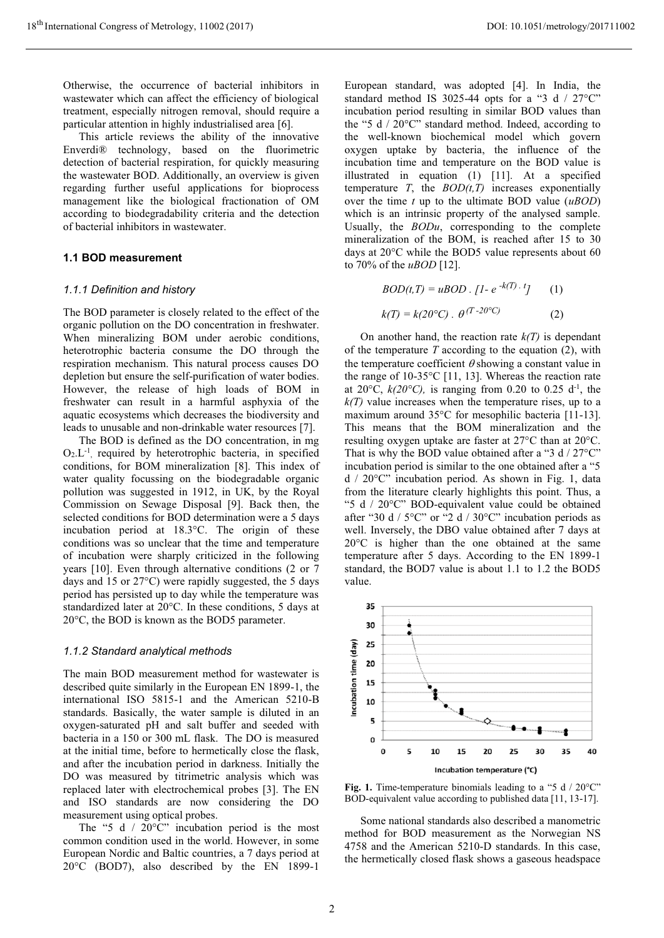Otherwise, the occurrence of bacterial inhibitors in wastewater which can affect the efficiency of biological treatment, especially nitrogen removal, should require a particular attention in highly industrialised area [6].

 This article reviews the ability of the innovative Enverdi® technology, based on the fluorimetric detection of bacterial respiration, for quickly measuring the wastewater BOD. Additionally, an overview is given regarding further useful applications for bioprocess management like the biological fractionation of OM according to biodegradability criteria and the detection of bacterial inhibitors in wastewater.

# **1.1 BOD measurement**

# *1.1.1 Definition and history*

The BOD parameter is closely related to the effect of the organic pollution on the DO concentration in freshwater. When mineralizing BOM under aerobic conditions, heterotrophic bacteria consume the DO through the respiration mechanism. This natural process causes DO depletion but ensure the self-purification of water bodies. However, the release of high loads of BOM in freshwater can result in a harmful asphyxia of the aquatic ecosystems which decreases the biodiversity and leads to unusable and non-drinkable water resources [7].

 The BOD is defined as the DO concentration, in mg  $O<sub>2</sub>L<sup>-1</sup>$ , required by heterotrophic bacteria, in specified conditions, for BOM mineralization [8]. This index of water quality focussing on the biodegradable organic pollution was suggested in 1912, in UK, by the Royal Commission on Sewage Disposal [9]. Back then, the selected conditions for BOD determination were a 5 days incubation period at 18.3°C. The origin of these conditions was so unclear that the time and temperature of incubation were sharply criticized in the following years [10]. Even through alternative conditions (2 or 7 days and 15 or 27°C) were rapidly suggested, the 5 days period has persisted up to day while the temperature was standardized later at 20°C. In these conditions, 5 days at 20°C, the BOD is known as the BOD5 parameter.

# *1.1.2 Standard analytical methods*

The main BOD measurement method for wastewater is described quite similarly in the European EN 1899-1, the international ISO 5815-1 and the American 5210-B standards. Basically, the water sample is diluted in an oxygen-saturated pH and salt buffer and seeded with bacteria in a 150 or 300 mL flask. The DO is measured at the initial time, before to hermetically close the flask, and after the incubation period in darkness. Initially the DO was measured by titrimetric analysis which was replaced later with electrochemical probes [3]. The EN and ISO standards are now considering the DO measurement using optical probes.

The "5 d  $/20^{\circ}$ " incubation period is the most common condition used in the world. However, in some European Nordic and Baltic countries, a 7 days period at 20°C (BOD7), also described by the EN 1899-1

European standard, was adopted [4]. In India, the standard method IS 3025-44 opts for a "3 d /  $27^{\circ}$ C" incubation period resulting in similar BOD values than the "5 d / 20°C" standard method. Indeed, according to the well-known biochemical model which govern oxygen uptake by bacteria, the influence of the incubation time and temperature on the BOD value is illustrated in equation (1) [11]. At a specified temperature *T*, the *BOD(t,T)* increases exponentially over the time *t* up to the ultimate BOD value (*uBOD*) which is an intrinsic property of the analysed sample. Usually, the *BODu*, corresponding to the complete mineralization of the BOM, is reached after 15 to 30 days at 20°C while the BOD5 value represents about 60 to 70% of the *uBOD* [12].

$$
BOD(t, T) = uBOD \cdot [1 - e^{-k(T)} \cdot t] \qquad (1)
$$

$$
k(T) = k(20^{\circ}C) \cdot \theta^{(T - 20^{\circ}C)} \qquad (2)
$$

On another hand, the reaction rate  $k(T)$  is dependant of the temperature *T* according to the equation (2), with the temperature coefficient  $\theta$  showing a constant value in the range of 10-35°C [11, 13]. Whereas the reaction rate at 20 $^{\circ}$ C,  $k(20^{\circ}C)$ , is ranging from 0.20 to 0.25 d<sup>-1</sup>, the  $k(T)$  value increases when the temperature rises, up to a maximum around 35°C for mesophilic bacteria [11-13]. This means that the BOM mineralization and the resulting oxygen uptake are faster at 27°C than at 20°C. That is why the BOD value obtained after a "3 d  $/$  27 $\degree$ C" incubation period is similar to the one obtained after a "5 d / 20°C" incubation period. As shown in Fig. 1, data from the literature clearly highlights this point. Thus, a "5 d / 20°C" BOD-equivalent value could be obtained after "30 d /  $5^{\circ}$ C" or "2 d / 30°C" incubation periods as well. Inversely, the DBO value obtained after 7 days at 20°C is higher than the one obtained at the same temperature after 5 days. According to the EN 1899-1 standard, the BOD7 value is about 1.1 to 1.2 the BOD5 value.



Fig. 1. Time-temperature binomials leading to a "5 d / 20°C" BOD-equivalent value according to published data [11, 13-17].

 Some national standards also described a manometric method for BOD measurement as the Norwegian NS 4758 and the American 5210-D standards. In this case, the hermetically closed flask shows a gaseous headspace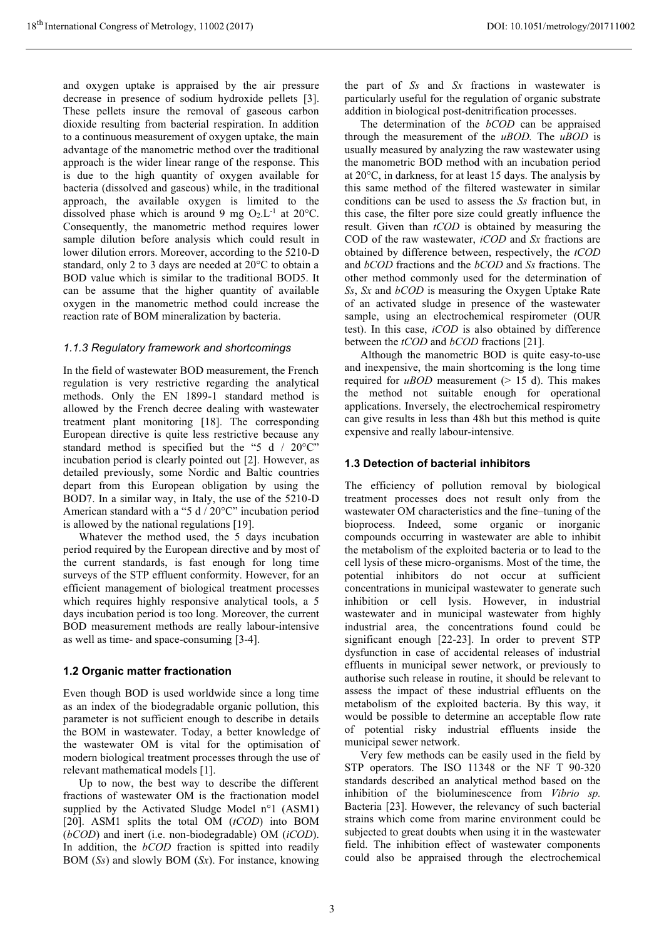and oxygen uptake is appraised by the air pressure decrease in presence of sodium hydroxide pellets [3]. These pellets insure the removal of gaseous carbon dioxide resulting from bacterial respiration. In addition to a continuous measurement of oxygen uptake, the main advantage of the manometric method over the traditional approach is the wider linear range of the response. This is due to the high quantity of oxygen available for bacteria (dissolved and gaseous) while, in the traditional approach, the available oxygen is limited to the dissolved phase which is around 9 mg  $O_2.L^{-1}$  at 20°C. Consequently, the manometric method requires lower sample dilution before analysis which could result in lower dilution errors. Moreover, according to the 5210-D standard, only 2 to 3 days are needed at 20°C to obtain a BOD value which is similar to the traditional BOD5. It can be assume that the higher quantity of available oxygen in the manometric method could increase the reaction rate of BOM mineralization by bacteria.

#### *1.1.3 Regulatory framework and shortcomings*

In the field of wastewater BOD measurement, the French regulation is very restrictive regarding the analytical methods. Only the EN 1899-1 standard method is allowed by the French decree dealing with wastewater treatment plant monitoring [18]. The corresponding European directive is quite less restrictive because any standard method is specified but the "5 d / 20°C" incubation period is clearly pointed out [2]. However, as detailed previously, some Nordic and Baltic countries depart from this European obligation by using the BOD7. In a similar way, in Italy, the use of the 5210-D American standard with a "5 d / 20°C" incubation period is allowed by the national regulations [19].

 Whatever the method used, the 5 days incubation period required by the European directive and by most of the current standards, is fast enough for long time surveys of the STP effluent conformity. However, for an efficient management of biological treatment processes which requires highly responsive analytical tools, a 5 days incubation period is too long. Moreover, the current BOD measurement methods are really labour-intensive as well as time- and space-consuming [3-4].

#### **1.2 Organic matter fractionation**

Even though BOD is used worldwide since a long time as an index of the biodegradable organic pollution, this parameter is not sufficient enough to describe in details the BOM in wastewater. Today, a better knowledge of the wastewater OM is vital for the optimisation of modern biological treatment processes through the use of relevant mathematical models [1].

 Up to now, the best way to describe the different fractions of wastewater OM is the fractionation model supplied by the Activated Sludge Model n°1 (ASM1) [20]. ASM1 splits the total OM (*tCOD*) into BOM (*bCOD*) and inert (i.e. non-biodegradable) OM (*iCOD*). In addition, the *bCOD* fraction is spitted into readily BOM (*Ss*) and slowly BOM (*Sx*). For instance, knowing

the part of *Ss* and *Sx* fractions in wastewater is particularly useful for the regulation of organic substrate addition in biological post-denitrification processes.

 The determination of the *bCOD* can be appraised through the measurement of the *uBOD.* The *uBOD* is usually measured by analyzing the raw wastewater using the manometric BOD method with an incubation period at 20°C, in darkness, for at least 15 days. The analysis by this same method of the filtered wastewater in similar conditions can be used to assess the *Ss* fraction but, in this case, the filter pore size could greatly influence the result. Given than *tCOD* is obtained by measuring the COD of the raw wastewater, *iCOD* and *Sx* fractions are obtained by difference between, respectively, the *tCOD* and *bCOD* fractions and the *bCOD* and *Ss* fractions. The other method commonly used for the determination of *Ss*, *Sx* and *bCOD* is measuring the Oxygen Uptake Rate of an activated sludge in presence of the wastewater sample, using an electrochemical respirometer (OUR test). In this case, *iCOD* is also obtained by difference between the *tCOD* and *bCOD* fractions [21].

 Although the manometric BOD is quite easy-to-use and inexpensive, the main shortcoming is the long time required for *uBOD* measurement ( $> 15$  d). This makes the method not suitable enough for operational applications. Inversely, the electrochemical respirometry can give results in less than 48h but this method is quite expensive and really labour-intensive.

### **1.3 Detection of bacterial inhibitors**

The efficiency of pollution removal by biological treatment processes does not result only from the wastewater OM characteristics and the fine–tuning of the bioprocess. Indeed, some organic or inorganic compounds occurring in wastewater are able to inhibit the metabolism of the exploited bacteria or to lead to the cell lysis of these micro-organisms. Most of the time, the potential inhibitors do not occur at sufficient concentrations in municipal wastewater to generate such inhibition or cell lysis. However, in industrial wastewater and in municipal wastewater from highly industrial area, the concentrations found could be significant enough [22-23]. In order to prevent STP dysfunction in case of accidental releases of industrial effluents in municipal sewer network, or previously to authorise such release in routine, it should be relevant to assess the impact of these industrial effluents on the metabolism of the exploited bacteria. By this way, it would be possible to determine an acceptable flow rate of potential risky industrial effluents inside the municipal sewer network.

 Very few methods can be easily used in the field by STP operators. The ISO 11348 or the NF T 90-320 standards described an analytical method based on the inhibition of the bioluminescence from *Vibrio sp.*  Bacteria [23]. However, the relevancy of such bacterial strains which come from marine environment could be subjected to great doubts when using it in the wastewater field. The inhibition effect of wastewater components could also be appraised through the electrochemical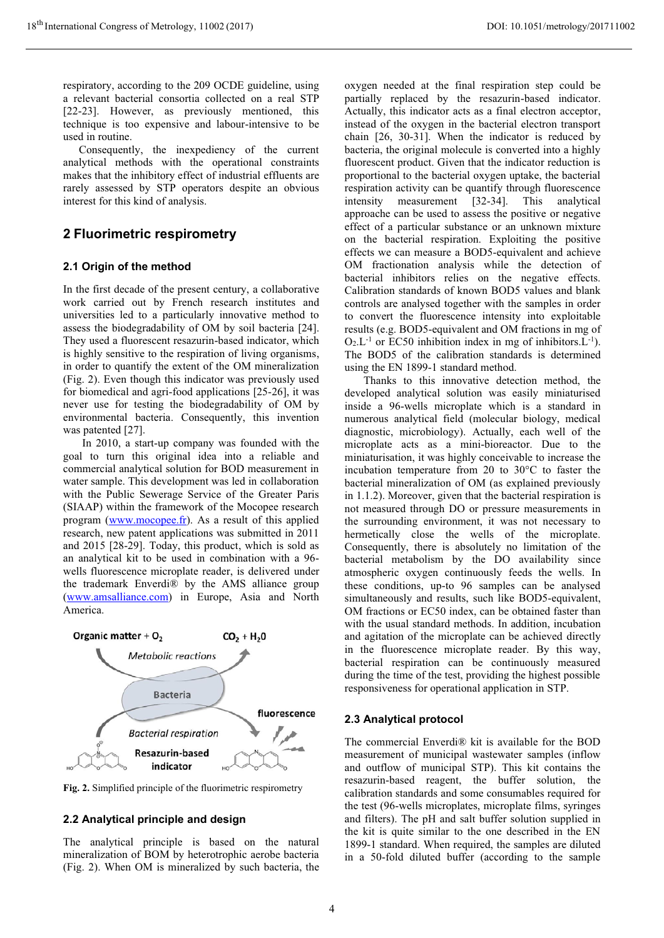respiratory, according to the 209 OCDE guideline, using a relevant bacterial consortia collected on a real STP [22-23]. However, as previously mentioned, this technique is too expensive and labour-intensive to be used in routine.

 Consequently, the inexpediency of the current analytical methods with the operational constraints makes that the inhibitory effect of industrial effluents are rarely assessed by STP operators despite an obvious interest for this kind of analysis.

# **2 Fluorimetric respirometry**

#### **2.1 Origin of the method**

In the first decade of the present century, a collaborative work carried out by French research institutes and universities led to a particularly innovative method to assess the biodegradability of OM by soil bacteria [24]. They used a fluorescent resazurin-based indicator, which is highly sensitive to the respiration of living organisms, in order to quantify the extent of the OM mineralization (Fig. 2). Even though this indicator was previously used for biomedical and agri-food applications [25-26], it was never use for testing the biodegradability of OM by environmental bacteria. Consequently, this invention was patented [27].

 In 2010, a start-up company was founded with the goal to turn this original idea into a reliable and commercial analytical solution for BOD measurement in water sample. This development was led in collaboration with the Public Sewerage Service of the Greater Paris (SIAAP) within the framework of the Mocopee research program (www.mocopee.fr). As a result of this applied research, new patent applications was submitted in 2011 and 2015 [28-29]. Today, this product, which is sold as an analytical kit to be used in combination with a 96 wells fluorescence microplate reader, is delivered under the trademark Enverdi® by the AMS alliance group (www.amsalliance.com) in Europe, Asia and North America.



**Fig. 2.** Simplified principle of the fluorimetric respirometry

#### **2.2 Analytical principle and design**

The analytical principle is based on the natural mineralization of BOM by heterotrophic aerobe bacteria (Fig. 2). When OM is mineralized by such bacteria, the

oxygen needed at the final respiration step could be partially replaced by the resazurin-based indicator. Actually, this indicator acts as a final electron acceptor, instead of the oxygen in the bacterial electron transport chain [26, 30-31]. When the indicator is reduced by bacteria, the original molecule is converted into a highly fluorescent product. Given that the indicator reduction is proportional to the bacterial oxygen uptake, the bacterial respiration activity can be quantify through fluorescence intensity measurement [32-34]. This analytical approache can be used to assess the positive or negative effect of a particular substance or an unknown mixture on the bacterial respiration. Exploiting the positive effects we can measure a BOD5-equivalent and achieve OM fractionation analysis while the detection of bacterial inhibitors relies on the negative effects. Calibration standards of known BOD5 values and blank controls are analysed together with the samples in order to convert the fluorescence intensity into exploitable results (e.g. BOD5-equivalent and OM fractions in mg of  $O_2.L^{-1}$  or EC50 inhibition index in mg of inhibitors.  $L^{-1}$ ). The BOD5 of the calibration standards is determined using the EN 1899-1 standard method.

 Thanks to this innovative detection method, the developed analytical solution was easily miniaturised inside a 96-wells microplate which is a standard in numerous analytical field (molecular biology, medical diagnostic, microbiology). Actually, each well of the microplate acts as a mini-bioreactor. Due to the miniaturisation, it was highly conceivable to increase the incubation temperature from 20 to 30°C to faster the bacterial mineralization of OM (as explained previously in 1.1.2). Moreover, given that the bacterial respiration is not measured through DO or pressure measurements in the surrounding environment, it was not necessary to hermetically close the wells of the microplate. Consequently, there is absolutely no limitation of the bacterial metabolism by the DO availability since atmospheric oxygen continuously feeds the wells. In these conditions, up-to 96 samples can be analysed simultaneously and results, such like BOD5-equivalent, OM fractions or EC50 index, can be obtained faster than with the usual standard methods. In addition, incubation and agitation of the microplate can be achieved directly in the fluorescence microplate reader. By this way, bacterial respiration can be continuously measured during the time of the test, providing the highest possible responsiveness for operational application in STP.

#### **2.3 Analytical protocol**

The commercial Enverdi® kit is available for the BOD measurement of municipal wastewater samples (inflow and outflow of municipal STP). This kit contains the resazurin-based reagent, the buffer solution, the calibration standards and some consumables required for the test (96-wells microplates, microplate films, syringes and filters). The pH and salt buffer solution supplied in the kit is quite similar to the one described in the EN 1899-1 standard. When required, the samples are diluted in a 50-fold diluted buffer (according to the sample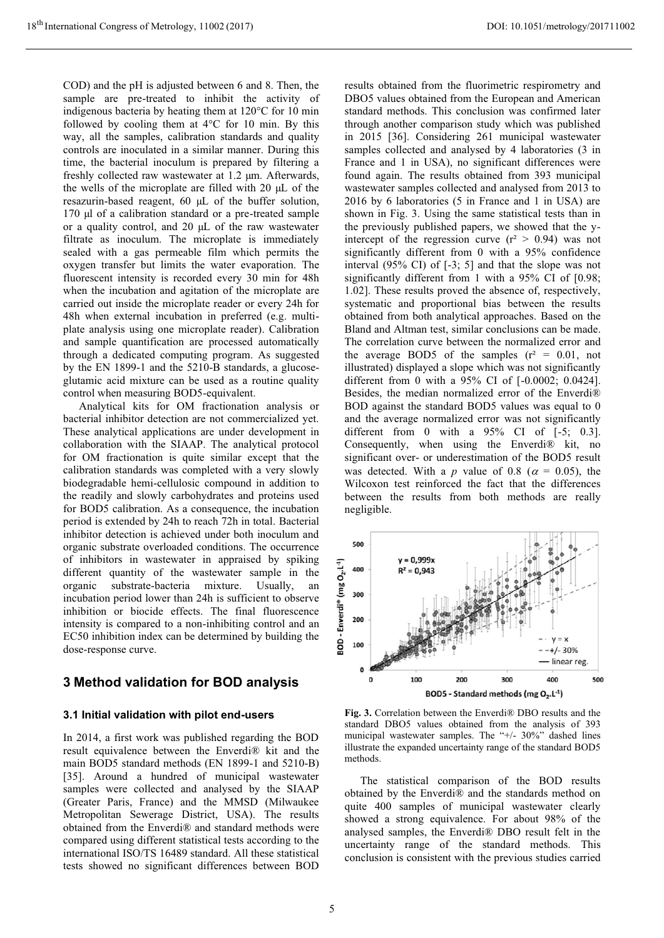COD) and the pH is adjusted between 6 and 8. Then, the sample are pre-treated to inhibit the activity of indigenous bacteria by heating them at 120°C for 10 min followed by cooling them at 4°C for 10 min. By this way, all the samples, calibration standards and quality controls are inoculated in a similar manner. During this time, the bacterial inoculum is prepared by filtering a freshly collected raw wastewater at 1.2 μm. Afterwards, the wells of the microplate are filled with 20 μL of the resazurin-based reagent, 60 μL of the buffer solution, 170 μl of a calibration standard or a pre-treated sample or a quality control, and 20 μL of the raw wastewater filtrate as inoculum. The microplate is immediately sealed with a gas permeable film which permits the oxygen transfer but limits the water evaporation. The fluorescent intensity is recorded every 30 min for 48h when the incubation and agitation of the microplate are carried out inside the microplate reader or every 24h for 48h when external incubation in preferred (e.g. multiplate analysis using one microplate reader). Calibration and sample quantification are processed automatically through a dedicated computing program. As suggested by the EN 1899-1 and the 5210-B standards, a glucoseglutamic acid mixture can be used as a routine quality control when measuring BOD5-equivalent.

 Analytical kits for OM fractionation analysis or bacterial inhibitor detection are not commercialized yet. These analytical applications are under development in collaboration with the SIAAP. The analytical protocol for OM fractionation is quite similar except that the calibration standards was completed with a very slowly biodegradable hemi-cellulosic compound in addition to the readily and slowly carbohydrates and proteins used for BOD5 calibration. As a consequence, the incubation period is extended by 24h to reach 72h in total. Bacterial inhibitor detection is achieved under both inoculum and organic substrate overloaded conditions. The occurrence of inhibitors in wastewater in appraised by spiking different quantity of the wastewater sample in the organic substrate-bacteria mixture. Usually, an incubation period lower than 24h is sufficient to observe inhibition or biocide effects. The final fluorescence intensity is compared to a non-inhibiting control and an EC50 inhibition index can be determined by building the dose-response curve.

# **3 Method validation for BOD analysis**

#### **3.1 Initial validation with pilot end-users**

In 2014, a first work was published regarding the BOD result equivalence between the Enverdi® kit and the main BOD5 standard methods (EN 1899-1 and 5210-B) [35]. Around a hundred of municipal wastewater samples were collected and analysed by the SIAAP (Greater Paris, France) and the MMSD (Milwaukee Metropolitan Sewerage District, USA). The results obtained from the Enverdi® and standard methods were compared using different statistical tests according to the international ISO/TS 16489 standard. All these statistical tests showed no significant differences between BOD

results obtained from the fluorimetric respirometry and DBO5 values obtained from the European and American standard methods. This conclusion was confirmed later through another comparison study which was published in 2015 [36]. Considering 261 municipal wastewater samples collected and analysed by 4 laboratories (3 in France and 1 in USA), no significant differences were found again. The results obtained from 393 municipal wastewater samples collected and analysed from 2013 to 2016 by 6 laboratories (5 in France and 1 in USA) are shown in Fig. 3. Using the same statistical tests than in the previously published papers, we showed that the yintercept of the regression curve  $(r^2 > 0.94)$  was not significantly different from 0 with a 95% confidence interval (95% CI) of [-3; 5] and that the slope was not significantly different from 1 with a 95% CI of [0.98; 1.02]. These results proved the absence of, respectively, systematic and proportional bias between the results obtained from both analytical approaches. Based on the Bland and Altman test, similar conclusions can be made. The correlation curve between the normalized error and the average BOD5 of the samples  $(r^2 = 0.01, not$ illustrated) displayed a slope which was not significantly different from 0 with a 95% CI of [-0.0002; 0.0424]. Besides, the median normalized error of the Enverdi® BOD against the standard BOD5 values was equal to 0 and the average normalized error was not significantly different from 0 with a 95% CI of [-5; 0.3]. Consequently, when using the Enverdi® kit, no significant over- or underestimation of the BOD5 result was detected. With a *p* value of 0.8 ( $\alpha$  = 0.05), the Wilcoxon test reinforced the fact that the differences between the results from both methods are really negligible.



**Fig. 3.** Correlation between the Enverdi® DBO results and the standard DBO5 values obtained from the analysis of 393 municipal wastewater samples. The "+/- 30%" dashed lines illustrate the expanded uncertainty range of the standard BOD5 methods.

The statistical comparison of the BOD results obtained by the Enverdi® and the standards method on quite 400 samples of municipal wastewater clearly showed a strong equivalence. For about 98% of the analysed samples, the Enverdi® DBO result felt in the uncertainty range of the standard methods. This conclusion is consistent with the previous studies carried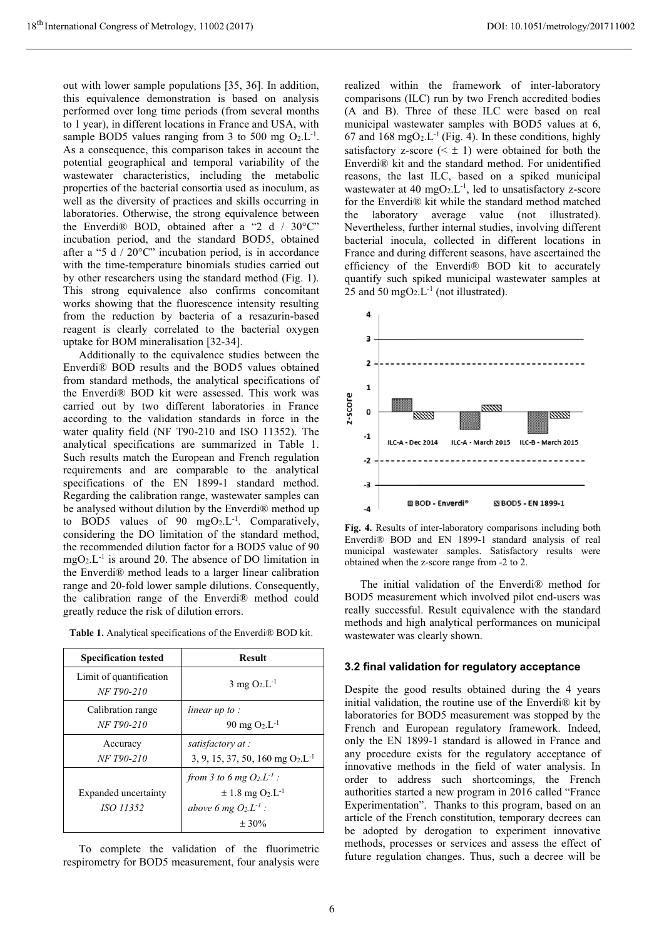out with lower sample populations [35, 36]. In addition, this equivalence demonstration is based on analysis performed over long time periods (from several months to 1 year), in different locations in France and USA, with sample BOD5 values ranging from 3 to 500 mg  $O_2.L^{-1}$ . As a consequence, this comparison takes in account the potential geographical and temporal variability of the wastewater characteristics, including the metabolic properties of the bacterial consortia used as inoculum, as well as the diversity of practices and skills occurring in laboratories. Otherwise, the strong equivalence between the Enverdi® BOD, obtained after a "2 d / 30°C" incubation period, and the standard BOD5, obtained after a "5  $d / 20^{\circ}$ " incubation period, is in accordance with the time-temperature binomials studies carried out by other researchers using the standard method (Fig. 1). This strong equivalence also confirms concomitant works showing that the fluorescence intensity resulting from the reduction by bacteria of a resazurin-based reagent is clearly correlated to the bacterial oxygen uptake for BOM mineralisation [32-34].

Additionally to the equivalence studies between the Enverdi® BOD results and the BOD5 values obtained from standard methods, the analytical specifications of the Enverdi® BOD kit were assessed. This work was carried out by two different laboratories in France according to the validation standards in force in the water quality field (NF T90-210 and ISO 11352). The analytical specifications are summarized in Table 1. Such results match the European and French regulation requirements and are comparable to the analytical specifications of the EN 1899-1 standard method. Regarding the calibration range, wastewater samples can be analysed without dilution by the Enverdi® method up to BOD5 values of 90  $mgO<sub>2</sub> L<sup>-1</sup>$ . Comparatively, considering the DO limitation of the standard method, the recommended dilution factor for a BOD5 value of 90  $mgO<sub>2</sub> L<sup>-1</sup>$  is around 20. The absence of DO limitation in the Enverdi® method leads to a larger linear calibration range and 20-fold lower sample dilutions. Consequently, the calibration range of the Enverdi® method could greatly reduce the risk of dilution errors.

| <b>Specification tested</b>              | <b>Result</b>                                                                                                      |
|------------------------------------------|--------------------------------------------------------------------------------------------------------------------|
| Limit of quantification<br>NF T90-210    | $3 \text{ mg } O_2.L^{-1}$                                                                                         |
| Calibration range<br>NF T90-210          | linear up to :<br>$90 \text{ mg } O_2 \text{L}^{-1}$                                                               |
| Accuracy<br>NF T90-210                   | satisfactory at:<br>3, 9, 15, 37, 50, 160 mg $O_2.L^{-1}$                                                          |
| Expanded uncertainty<br><i>ISO</i> 11352 | from 3 to 6 mg $O_2L^{-1}$ :<br>$\pm$ 1.8 mg O <sub>2</sub> .L <sup>-1</sup><br>above 6 mg $O_2L^1$ :<br>$\pm$ 30% |

**Table 1.** Analytical specifications of the Enverdi® BOD kit.

To complete the validation of the fluorimetric respirometry for BOD5 measurement, four analysis were realized within the framework of inter-laboratory comparisons (ILC) run by two French accredited bodies (A and B). Three of these ILC were based on real municipal wastewater samples with BOD5 values at 6, 67 and 168 mgO<sub>2</sub>.L<sup>-1</sup> (Fig. 4). In these conditions, highly satisfactory z-score  $( $\pm 1$ ) were obtained for both the$ Enverdi® kit and the standard method. For unidentified reasons, the last ILC, based on a spiked municipal wastewater at 40 mgO<sub>2</sub>.L<sup>-1</sup>, led to unsatisfactory z-score for the Enverdi® kit while the standard method matched the laboratory average value (not illustrated). Nevertheless, further internal studies, involving different bacterial inocula, collected in different locations in France and during different seasons, have ascertained the efficiency of the Enverdi® BOD kit to accurately quantify such spiked municipal wastewater samples at 25 and 50 mgO<sub>2</sub>.L<sup>-1</sup> (not illustrated).



**Fig. 4.** Results of inter-laboratory comparisons including both Enverdi® BOD and EN 1899-1 standard analysis of real municipal wastewater samples. Satisfactory results were obtained when the z-score range from -2 to 2.

The initial validation of the Enverdi® method for BOD5 measurement which involved pilot end-users was really successful. Result equivalence with the standard methods and high analytical performances on municipal wastewater was clearly shown.

#### **3.2 final validation for regulatory acceptance**

Despite the good results obtained during the 4 years initial validation, the routine use of the Enverdi® kit by laboratories for BOD5 measurement was stopped by the French and European regulatory framework. Indeed, only the EN 1899-1 standard is allowed in France and any procedure exists for the regulatory acceptance of innovative methods in the field of water analysis. In order to address such shortcomings, the French authorities started a new program in 2016 called "France Experimentation". Thanks to this program, based on an article of the French constitution, temporary decrees can be adopted by derogation to experiment innovative methods, processes or services and assess the effect of future regulation changes. Thus, such a decree will be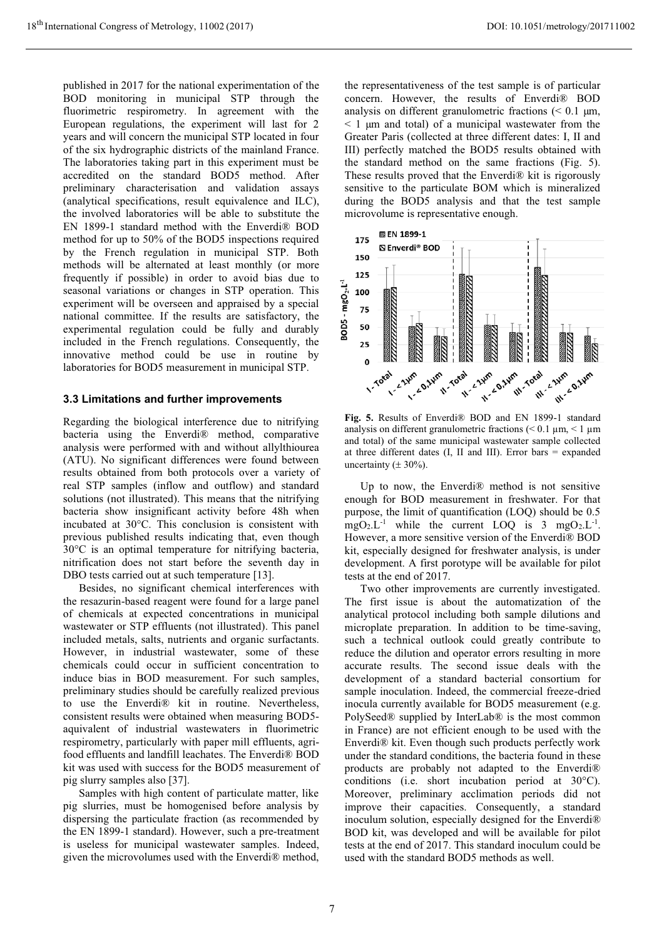published in 2017 for the national experimentation of the BOD monitoring in municipal STP through the fluorimetric respirometry. In agreement with the European regulations, the experiment will last for 2 years and will concern the municipal STP located in four of the six hydrographic districts of the mainland France. The laboratories taking part in this experiment must be accredited on the standard BOD5 method. After preliminary characterisation and validation assays (analytical specifications, result equivalence and ILC), the involved laboratories will be able to substitute the EN 1899-1 standard method with the Enverdi® BOD method for up to 50% of the BOD5 inspections required by the French regulation in municipal STP. Both methods will be alternated at least monthly (or more frequently if possible) in order to avoid bias due to seasonal variations or changes in STP operation. This experiment will be overseen and appraised by a special national committee. If the results are satisfactory, the experimental regulation could be fully and durably included in the French regulations. Consequently, the innovative method could be use in routine by laboratories for BOD5 measurement in municipal STP.

#### **3.3 Limitations and further improvements**

Regarding the biological interference due to nitrifying bacteria using the Enverdi® method, comparative analysis were performed with and without allylthiourea (ATU). No significant differences were found between results obtained from both protocols over a variety of real STP samples (inflow and outflow) and standard solutions (not illustrated). This means that the nitrifying bacteria show insignificant activity before 48h when incubated at 30°C. This conclusion is consistent with previous published results indicating that, even though 30°C is an optimal temperature for nitrifying bacteria, nitrification does not start before the seventh day in DBO tests carried out at such temperature [13].

Besides, no significant chemical interferences with the resazurin-based reagent were found for a large panel of chemicals at expected concentrations in municipal wastewater or STP effluents (not illustrated). This panel included metals, salts, nutrients and organic surfactants. However, in industrial wastewater, some of these chemicals could occur in sufficient concentration to induce bias in BOD measurement. For such samples, preliminary studies should be carefully realized previous to use the Enverdi® kit in routine. Nevertheless, consistent results were obtained when measuring BOD5 aquivalent of industrial wastewaters in fluorimetric respirometry, particularly with paper mill effluents, agrifood effluents and landfill leachates. The Enverdi® BOD kit was used with success for the BOD5 measurement of pig slurry samples also [37].

Samples with high content of particulate matter, like pig slurries, must be homogenised before analysis by dispersing the particulate fraction (as recommended by the EN 1899-1 standard). However, such a pre-treatment is useless for municipal wastewater samples. Indeed, given the microvolumes used with the Enverdi® method,

the representativeness of the test sample is of particular concern. However, the results of Enverdi® BOD analysis on different granulometric fractions  $\approx 0.1 \, \mu m$ ,  $\leq$  1  $\mu$ m and total) of a municipal wastewater from the Greater Paris (collected at three different dates: I, II and III) perfectly matched the BOD5 results obtained with the standard method on the same fractions (Fig. 5). These results proved that the Enverdi® kit is rigorously sensitive to the particulate BOM which is mineralized during the BOD5 analysis and that the test sample microvolume is representative enough.



**Fig. 5.** Results of Enverdi® BOD and EN 1899-1 standard analysis on different granulometric fractions ( $< 0.1 \mu m, < 1 \mu m$ and total) of the same municipal wastewater sample collected at three different dates (I, II and III). Error bars = expanded uncertainty ( $\pm$  30%).

Up to now, the Enverdi® method is not sensitive enough for BOD measurement in freshwater. For that purpose, the limit of quantification (LOQ) should be 0.5  $mgO<sub>2</sub> L<sup>-1</sup>$  while the current LOQ is 3 mgO<sub>2</sub>.L<sup>-1</sup>. However, a more sensitive version of the Enverdi® BOD kit, especially designed for freshwater analysis, is under development. A first porotype will be available for pilot tests at the end of 2017.

Two other improvements are currently investigated. The first issue is about the automatization of the analytical protocol including both sample dilutions and microplate preparation. In addition to be time-saving, such a technical outlook could greatly contribute to reduce the dilution and operator errors resulting in more accurate results. The second issue deals with the development of a standard bacterial consortium for sample inoculation. Indeed, the commercial freeze-dried inocula currently available for BOD5 measurement (e.g. PolySeed® supplied by InterLab® is the most common in France) are not efficient enough to be used with the Enverdi® kit. Even though such products perfectly work under the standard conditions, the bacteria found in these products are probably not adapted to the Enverdi® conditions (i.e. short incubation period at 30°C). Moreover, preliminary acclimation periods did not improve their capacities. Consequently, a standard inoculum solution, especially designed for the Enverdi® BOD kit, was developed and will be available for pilot tests at the end of 2017. This standard inoculum could be used with the standard BOD5 methods as well.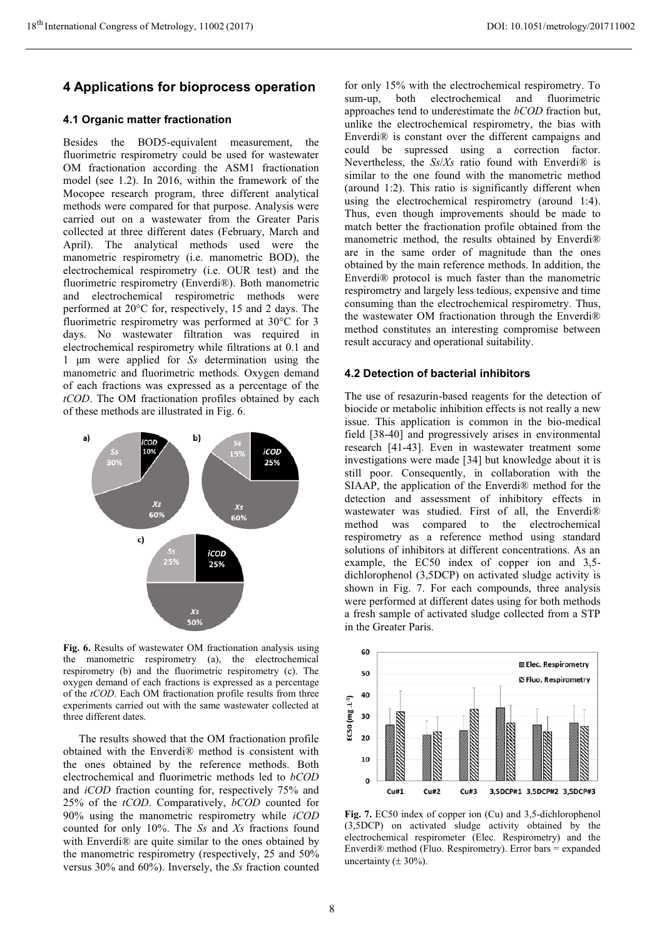# **4 Applications for bioprocess operation**

# **4.1 Organic matter fractionation**

Besides the BOD5-equivalent measurement, the fluorimetric respirometry could be used for wastewater OM fractionation according the ASM1 fractionation model (see 1.2). In 2016, within the framework of the Mocopee research program, three different analytical methods were compared for that purpose. Analysis were carried out on a wastewater from the Greater Paris collected at three different dates (February, March and April). The analytical methods used were the manometric respirometry (i.e. manometric BOD), the electrochemical respirometry (i.e. OUR test) and the fluorimetric respirometry (Enverdi®). Both manometric and electrochemical respirometric methods were performed at 20°C for, respectively, 15 and 2 days. The fluorimetric respirometry was performed at 30°C for 3 days. No wastewater filtration was required in electrochemical respirometry while filtrations at 0.1 and 1 μm were applied for *Ss* determination using the manometric and fluorimetric methods. Oxygen demand of each fractions was expressed as a percentage of the *tCOD*. The OM fractionation profiles obtained by each of these methods are illustrated in Fig. 6.



**Fig. 6.** Results of wastewater OM fractionation analysis using the manometric respirometry (a), the electrochemical respirometry (b) and the fluorimetric respirometry (c). The oxygen demand of each fractions is expressed as a percentage of the *tCOD*. Each OM fractionation profile results from three experiments carried out with the same wastewater collected at three different dates.

The results showed that the OM fractionation profile obtained with the Enverdi® method is consistent with the ones obtained by the reference methods. Both electrochemical and fluorimetric methods led to *bCOD* and *iCOD* fraction counting for, respectively 75% and 25% of the *tCOD*. Comparatively, *bCOD* counted for 90% using the manometric respirometry while *iCOD*  counted for only 10%. The *Ss* and *Xs* fractions found with Enverdi® are quite similar to the ones obtained by the manometric respirometry (respectively, 25 and 50% versus 30% and 60%). Inversely, the *Ss* fraction counted

for only 15% with the electrochemical respirometry. To sum-up, both electrochemical and fluorimetric approaches tend to underestimate the *bCOD* fraction but, unlike the electrochemical respirometry, the bias with Enverdi® is constant over the different campaigns and could be supressed using a correction factor. Nevertheless, the *Ss*/*Xs* ratio found with Enverdi® is similar to the one found with the manometric method (around 1:2). This ratio is significantly different when using the electrochemical respirometry (around 1:4). Thus, even though improvements should be made to match better the fractionation profile obtained from the manometric method, the results obtained by Enverdi® are in the same order of magnitude than the ones obtained by the main reference methods. In addition, the Enverdi® protocol is much faster than the manometric respirometry and largely less tedious, expensive and time consuming than the electrochemical respirometry. Thus, the wastewater OM fractionation through the Enverdi® method constitutes an interesting compromise between result accuracy and operational suitability.

# **4.2 Detection of bacterial inhibitors**

The use of resazurin-based reagents for the detection of biocide or metabolic inhibition effects is not really a new issue. This application is common in the bio-medical field [38-40] and progressively arises in environmental research [41-43]. Even in wastewater treatment some investigations were made [34] but knowledge about it is still poor. Consequently, in collaboration with the SIAAP, the application of the Enverdi® method for the detection and assessment of inhibitory effects in wastewater was studied. First of all, the Enverdi® method was compared to the electrochemical respirometry as a reference method using standard solutions of inhibitors at different concentrations. As an example, the EC50 index of copper ion and 3,5 dichlorophenol (3,5DCP) on activated sludge activity is shown in Fig. 7. For each compounds, three analysis were performed at different dates using for both methods a fresh sample of activated sludge collected from a STP in the Greater Paris.



**Fig. 7.** EC50 index of copper ion (Cu) and 3,5-dichlorophenol (3,5DCP) on activated sludge activity obtained by the electrochemical respirometer (Elec. Respirometry) and the Enverdi® method (Fluo. Respirometry). Error bars = expanded uncertainty ( $\pm$  30%).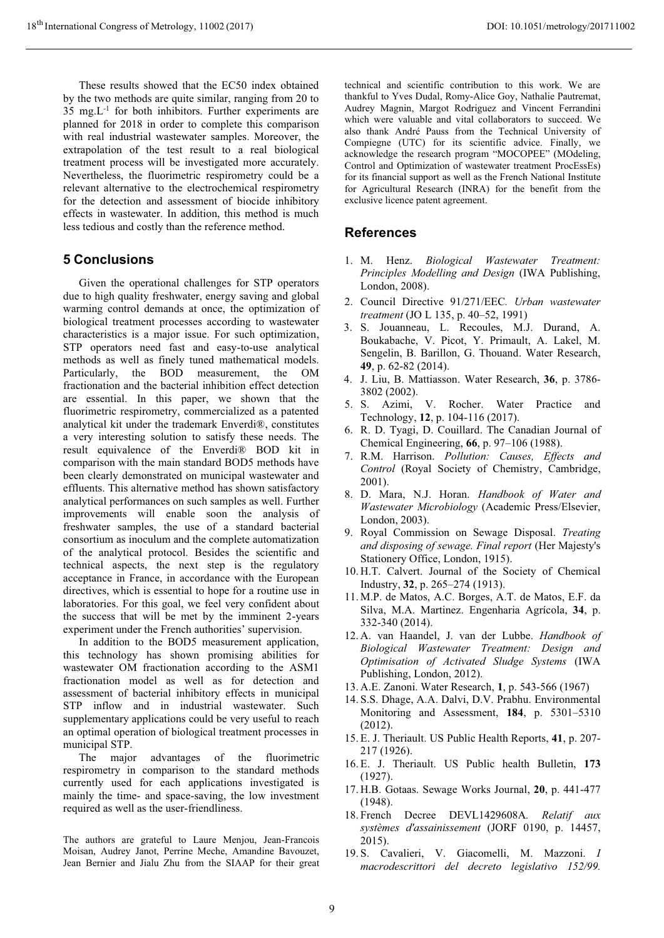These results showed that the EC50 index obtained by the two methods are quite similar, ranging from 20 to 35 mg.L-1 for both inhibitors. Further experiments are planned for 2018 in order to complete this comparison with real industrial wastewater samples. Moreover, the extrapolation of the test result to a real biological treatment process will be investigated more accurately. Nevertheless, the fluorimetric respirometry could be a relevant alternative to the electrochemical respirometry for the detection and assessment of biocide inhibitory effects in wastewater. In addition, this method is much less tedious and costly than the reference method.

### **5 Conclusions**

Given the operational challenges for STP operators due to high quality freshwater, energy saving and global warming control demands at once, the optimization of biological treatment processes according to wastewater characteristics is a major issue. For such optimization, STP operators need fast and easy-to-use analytical methods as well as finely tuned mathematical models. Particularly, the BOD measurement, the OM fractionation and the bacterial inhibition effect detection are essential. In this paper, we shown that the fluorimetric respirometry, commercialized as a patented analytical kit under the trademark Enverdi®, constitutes a very interesting solution to satisfy these needs. The result equivalence of the Enverdi® BOD kit in comparison with the main standard BOD5 methods have been clearly demonstrated on municipal wastewater and effluents. This alternative method has shown satisfactory analytical performances on such samples as well. Further improvements will enable soon the analysis of freshwater samples, the use of a standard bacterial consortium as inoculum and the complete automatization of the analytical protocol. Besides the scientific and technical aspects, the next step is the regulatory acceptance in France, in accordance with the European directives, which is essential to hope for a routine use in laboratories. For this goal, we feel very confident about the success that will be met by the imminent 2-years experiment under the French authorities' supervision.

In addition to the BOD5 measurement application, this technology has shown promising abilities for wastewater OM fractionation according to the ASM1 fractionation model as well as for detection and assessment of bacterial inhibitory effects in municipal STP inflow and in industrial wastewater. Such supplementary applications could be very useful to reach an optimal operation of biological treatment processes in

municipal STP.<br>The major The major advantages of the fluorimetric respirometry in comparison to the standard methods currently used for each applications investigated is mainly the time- and space-saving, the low investment required as well as the user-friendliness.

The authors are grateful to Laure Menjou, Jean-Francois Moisan, Audrey Janot, Perrine Meche, Amandine Bavouzet, Jean Bernier and Jialu Zhu from the SIAAP for their great

technical and scientific contribution to this work. We are thankful to Yves Dudal, Romy-Alice Goy, Nathalie Pautremat, Audrey Magnin, Margot Rodriguez and Vincent Ferrandini which were valuable and vital collaborators to succeed. We also thank André Pauss from the Technical University of Compiegne (UTC) for its scientific advice. Finally, we acknowledge the research program "MOCOPEE" (MOdeling, Control and Optimization of wastewater treatment ProcEssEs) for its financial support as well as the French National Institute for Agricultural Research (INRA) for the benefit from the exclusive licence patent agreement.

# **References**

- 1. M. Henz. *Biological Wastewater Treatment: Principles Modelling and Design* (IWA Publishing, London, 2008).
- 2. Council Directive 91/271/EEC*. Urban wastewater treatment* (JO L 135, p. 40–52, 1991)
- 3. S. Jouanneau, L. Recoules, M.J. Durand, A. Boukabache, V. Picot, Y. Primault, A. Lakel, M. Sengelin, B. Barillon, G. Thouand. Water Research, **49**, p. 62-82 (2014).
- 4. J. Liu, B. Mattiasson. Water Research, **36**, p. 3786- 3802 (2002).
- 5. S. Azimi, V. Rocher. Water Practice and Technology, **12**, p. 104-116 (2017).
- 6. R. D. Tyagi, D. Couillard. The Canadian Journal of Chemical Engineering, **66**, p. 97–106 (1988).
- 7. R.M. Harrison. *Pollution: Causes, Effects and Control* (Royal Society of Chemistry, Cambridge, 2001).
- 8. D. Mara, N.J. Horan. *Handbook of Water and Wastewater Microbiology* (Academic Press/Elsevier, London, 2003).
- 9. Royal Commission on Sewage Disposal. *Treating and disposing of sewage. Final report* (Her Majesty's Stationery Office, London, 1915).
- 10. H.T. Calvert. Journal of the Society of Chemical Industry, **32**, p. 265–274 (1913).
- 11. M.P. de Matos, A.C. Borges, A.T. de Matos, E.F. da Silva, M.A. Martinez. Engenharia Agrícola, **34**, p. 332-340 (2014).
- 12. A. van Haandel, J. van der Lubbe. *Handbook of Biological Wastewater Treatment: Design and Optimisation of Activated Sludge Systems* (IWA Publishing, London, 2012).
- 13. A.E. Zanoni. Water Research, **1**, p. 543-566 (1967)
- 14. S.S. Dhage, A.A. Dalvi, D.V. Prabhu. Environmental Monitoring and Assessment, **184**, p. 5301–5310 (2012).
- 15. E. J. Theriault. US Public Health Reports, **41**, p. 207- 217 (1926).
- 16. E. J. Theriault. US Public health Bulletin, **173** (1927).
- 17. H.B. Gotaas. Sewage Works Journal, **20**, p. 441-477 (1948).
- 18. French Decree DEVL1429608A*. Relatif aux systèmes d'assainissement* (JORF 0190, p. 14457, 2015).
- 19. S. Cavalieri, V. Giacomelli, M. Mazzoni. *I macrodescrittori del decreto legislativo 152/99.*